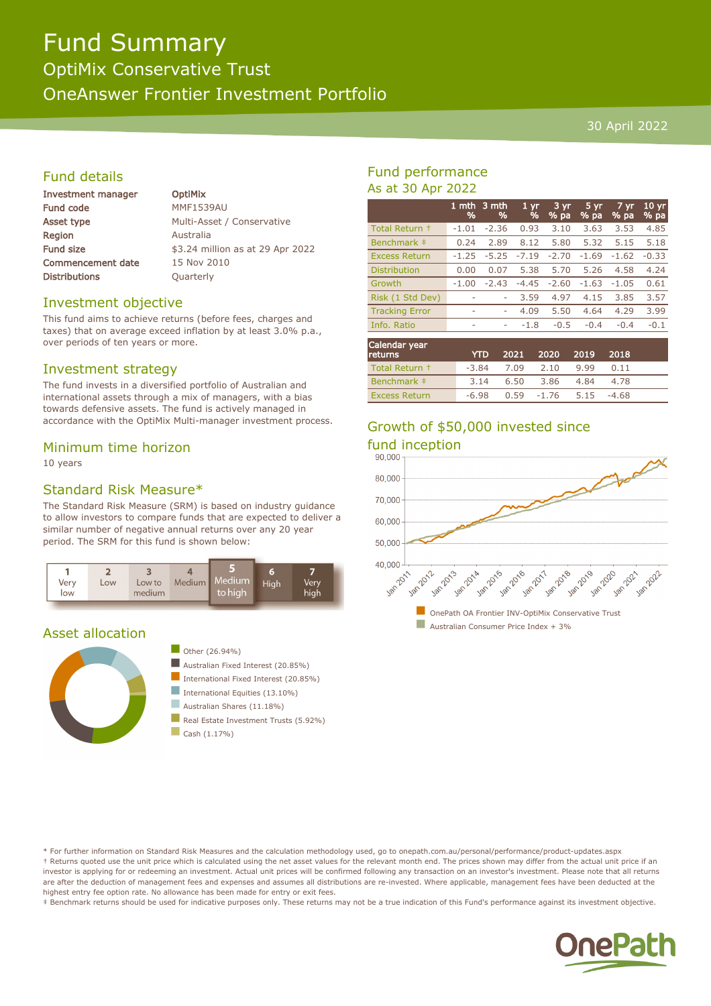# Fund Summary

OptiMix Conservative Trust

OneAnswer Frontier Investment Portfolio

#### 30 April 2022

# Fund details

| <b>Investment manager</b> | <b>OptiMix</b> |
|---------------------------|----------------|
| Fund code                 | <b>MMF1539</b> |
| Asset type                | Multi-Ass      |
| Region                    | Australia      |
| <b>Fund size</b>          | \$3.24 mil     |
| <b>Commencement date</b>  | 15 Nov 20      |
| <b>Distributions</b>      | Quarterly      |
|                           |                |

 $1539AU$ i-Asset / Conservative 4 million as at 29 Apr 2022  $\log 2010$ 

## Investment objective

This fund aims to achieve returns (before fees, charges and taxes) that on average exceed inflation by at least 3.0% p.a., over periods of ten years or more.

## Investment strategy

The fund invests in a diversified portfolio of Australian and international assets through a mix of managers, with a bias towards defensive assets. The fund is actively managed in accordance with the OptiMix Multi-manager investment process.

#### Minimum time horizon

10 years

# Standard Risk Measure\*

The Standard Risk Measure (SRM) is based on industry guidance to allow investors to compare funds that are expected to deliver a similar number of negative annual returns over any 20 year period. The SRM for this fund is shown below:



#### Asset allocation





- $\blacksquare$  Australian Fixed Interest (20.85%)
- International Fixed Interest (20.85%)
- International Equities  $(13.10\%)$
- Australian Shares (11.18%)
- Real Estate Investment Trusts (5.92%)
- $\Box$  Cash (1.17%)

# Fund performance As at 30 Apr 2022

|                       | 1 mth<br>% | .3 mth<br>% | 1 <sub>yr</sub><br>% | 3 yr<br>% pa | 5 yr<br>% pa | 7 yr<br>% pa | 10 <sub>yr</sub><br>% pa |
|-----------------------|------------|-------------|----------------------|--------------|--------------|--------------|--------------------------|
| Total Return +        | $-1.01$    | $-2.36$     | 0.93                 | 3.10         | 3.63         | 3.53         | 4.85                     |
| Benchmark ‡           | 0.24       | 2.89        | 8.12                 | 5.80         | 5.32         | 5.15         | 5.18                     |
| <b>Excess Return</b>  | $-1.25$    | $-5.25$     | $-7.19$              | $-2.70$      | $-1.69$      | $-1.62$      | $-0.33$                  |
| <b>Distribution</b>   | 0.00       | 0.07        | 5.38                 | 5.70         | 5.26         | 4.58         | 4.24                     |
| Growth                | $-1.00$    | $-2.43$     | $-4.45$              | $-2.60$      | $-1.63$      | $-1.05$      | 0.61                     |
| Risk (1 Std Dev)      | ۰          | ۰           | 3.59                 | 4.97         | 4.15         | 3.85         | 3.57                     |
| <b>Tracking Error</b> | ۰          | ۰           | 4.09                 | 5.50         | 4.64         | 4.29         | 3.99                     |
| Info. Ratio           | ۰          | ۰           | $-1.8$               | $-0.5$       | $-0.4$       | $-0.4$       | $-0.1$                   |
| ___                   |            |             |                      |              |              |              |                          |

| Calendar year<br>returns | <b>YTD</b> |                       | 2021 2020         | - 2019 | 2018    |  |
|--------------------------|------------|-----------------------|-------------------|--------|---------|--|
| Total Return +           |            | $-3.84$ $7.09$ $2.10$ |                   | 9.99   | 0.11    |  |
| Benchmark #              | 3.14       | 6.50                  | 3.86              | 4.84   | 4.78    |  |
| <b>Excess Return</b>     | $-6.98$    |                       | $0.59 -1.76$ 5.15 |        | $-4.68$ |  |

# Growth of \$50,000 invested since



\* For further information on Standard Risk Measures and the calculation methodology used, go to onepath.com.au/personal/performance/product-updates.aspx † Returns quoted use the unit price which is calculated using the net asset values for the relevant month end. The prices shown may differ from the actual unit price if an investor is applying for or redeeming an investment. Actual unit prices will be confirmed following any transaction on an investor's investment. Please note that all returns are after the deduction of management fees and expenses and assumes all distributions are re-invested. Where applicable, management fees have been deducted at the highest entry fee option rate. No allowance has been made for entry or exit fees.

‡ Benchmark returns should be used for indicative purposes only. These returns may not be a true indication of this Fund's performance against its investment objective.